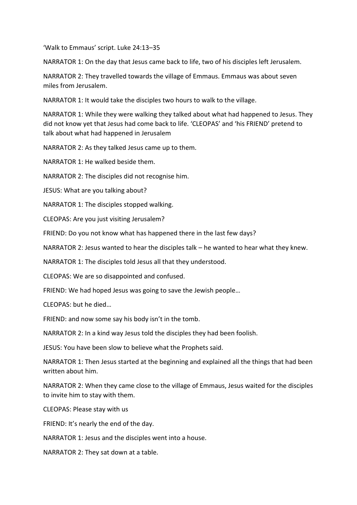'Walk to Emmaus' script. Luke 24:13–35

NARRATOR 1: On the day that Jesus came back to life, two of his disciples left Jerusalem.

NARRATOR 2: They travelled towards the village of Emmaus. Emmaus was about seven miles from Jerusalem.

NARRATOR 1: It would take the disciples two hours to walk to the village.

NARRATOR 1: While they were walking they talked about what had happened to Jesus. They did not know yet that Jesus had come back to life. 'CLEOPAS' and 'his FRIEND' pretend to talk about what had happened in Jerusalem

NARRATOR 2: As they talked Jesus came up to them.

NARRATOR 1: He walked beside them.

NARRATOR 2: The disciples did not recognise him.

JESUS: What are you talking about?

NARRATOR 1: The disciples stopped walking.

CLEOPAS: Are you just visiting Jerusalem?

FRIEND: Do you not know what has happened there in the last few days?

NARRATOR 2: Jesus wanted to hear the disciples talk – he wanted to hear what they knew.

NARRATOR 1: The disciples told Jesus all that they understood.

CLEOPAS: We are so disappointed and confused.

FRIEND: We had hoped Jesus was going to save the Jewish people…

CLEOPAS: but he died…

FRIEND: and now some say his body isn't in the tomb.

NARRATOR 2: In a kind way Jesus told the disciples they had been foolish.

JESUS: You have been slow to believe what the Prophets said.

NARRATOR 1: Then Jesus started at the beginning and explained all the things that had been written about him.

NARRATOR 2: When they came close to the village of Emmaus, Jesus waited for the disciples to invite him to stay with them.

CLEOPAS: Please stay with us

FRIEND: It's nearly the end of the day.

NARRATOR 1: Jesus and the disciples went into a house.

NARRATOR 2: They sat down at a table.